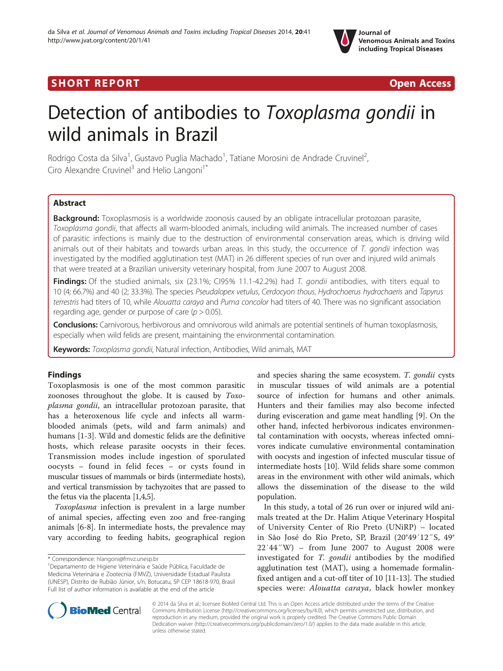# SHORT REPORT AND RESERVE THE SHORT CONTROL CONTROL CONTROL CONTROL CONTROL CONTROL CONTROL CONTROL CONTROL CONTROL CONTROL CONTROL CONTROL CONTROL CONTROL CONTROL CONTROL CONTROL CONTROL CONTROL CONTROL CONTROL CONTROL CON



# Detection of antibodies to Toxoplasma gondii in wild animals in Brazil

Rodrigo Costa da Silva<sup>1</sup>, Gustavo Puglia Machado<sup>1</sup>, Tatiane Morosini de Andrade Cruvinel<sup>2</sup> , Ciro Alexandre Cruvinel<sup>3</sup> and Helio Langoni<sup>1\*</sup>

## Abstract

**Background:** Toxoplasmosis is a worldwide zoonosis caused by an obligate intracellular protozoan parasite, Toxoplasma gondii, that affects all warm-blooded animals, including wild animals. The increased number of cases of parasitic infections is mainly due to the destruction of environmental conservation areas, which is driving wild animals out of their habitats and towards urban areas. In this study, the occurrence of  $T$ . gondii infection was investigated by the modified agglutination test (MAT) in 26 different species of run over and injured wild animals that were treated at a Brazilian university veterinary hospital, from June 2007 to August 2008.

Findings: Of the studied animals, six (23.1%; CI95% 11.1-42.2%) had T. gondii antibodies, with titers equal to 10 (4; 66.7%) and 40 (2; 33.3%). The species Pseudalopex vetulus, Cerdocyon thous, Hydrochoerus hydrochaeris and Tapyrus terrestris had titers of 10, while Alouatta caraya and Puma concolor had titers of 40. There was no significant association regarding age, gender or purpose of care ( $p > 0.05$ ).

Conclusions: Carnivorous, herbivorous and omnivorous wild animals are potential sentinels of human toxoplasmosis, especially when wild felids are present, maintaining the environmental contamination.

Keywords: Toxoplasma gondii, Natural infection, Antibodies, Wild animals, MAT

### Findings

Toxoplasmosis is one of the most common parasitic zoonoses throughout the globe. It is caused by Toxoplasma gondii, an intracellular protozoan parasite, that has a heteroxenous life cycle and infects all warmblooded animals (pets, wild and farm animals) and humans [\[1](#page-2-0)-[3\]](#page-2-0). Wild and domestic felids are the definitive hosts, which release parasite oocysts in their feces. Transmission modes include ingestion of sporulated oocysts – found in felid feces – or cysts found in muscular tissues of mammals or birds (intermediate hosts), and vertical transmission by tachyzoites that are passed to the fetus via the placenta [\[1,4,5\]](#page-2-0).

Toxoplasma infection is prevalent in a large number of animal species, affecting even zoo and free-ranging animals [[6](#page-3-0)-[8\]](#page-3-0). In intermediate hosts, the prevalence may vary according to feeding habits, geographical region

\* Correspondence: [hlangoni@fmvz.unesp.br](mailto:hlangoni@fmvz.unesp.br) <sup>1</sup>

and species sharing the same ecosystem. T. gondii cysts in muscular tissues of wild animals are a potential source of infection for humans and other animals. Hunters and their families may also become infected during evisceration and game meat handling [[9\]](#page-3-0). On the other hand, infected herbivorous indicates environmental contamination with oocysts, whereas infected omnivores indicate cumulative environmental contamination with oocysts and ingestion of infected muscular tissue of intermediate hosts [[10\]](#page-3-0). Wild felids share some common areas in the environment with other wild animals, which allows the dissemination of the disease to the wild population.

In this study, a total of 26 run over or injured wild animals treated at the Dr. Halim Atique Veterinary Hospital of University Center of Rio Preto (UNiRP) – located in São José do Rio Preto, SP, Brazil (20°49′12″S, 49° 22′44″W) – from June 2007 to August 2008 were investigated for T. gondii antibodies by the modified agglutination test (MAT), using a homemade formalinfixed antigen and a cut-off titer of 10 [\[11](#page-3-0)-[13](#page-3-0)]. The studied species were: Alouatta caraya, black howler monkey



© 2014 da Silva et al.; licensee BioMed Central Ltd. This is an Open Access article distributed under the terms of the Creative Commons Attribution License [\(http://creativecommons.org/licenses/by/4.0\)](http://creativecommons.org/licenses/by/4.0), which permits unrestricted use, distribution, and reproduction in any medium, provided the original work is properly credited. The Creative Commons Public Domain Dedication waiver [\(http://creativecommons.org/publicdomain/zero/1.0/](http://creativecommons.org/publicdomain/zero/1.0/)) applies to the data made available in this article, unless otherwise stated.

Departamento de Higiene Veterinária e Saúde Pública, Faculdade de Medicina Veterinária e Zootecnia (FMVZ), Universidade Estadual Paulista (UNESP), Distrito de Rubião Júnior, s/n, Botucatu, SP CEP 18618-970, Brasil Full list of author information is available at the end of the article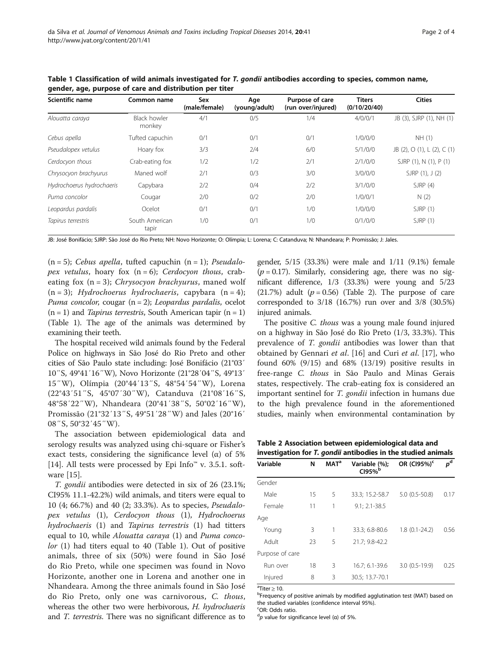| Scientific name           | Common name                   | Sex<br>(male/female) | Age<br>(young/adult) | Purpose of care<br>(run over/injured) | <b>Titers</b><br>(0/10/20/40) | <b>Cities</b>               |
|---------------------------|-------------------------------|----------------------|----------------------|---------------------------------------|-------------------------------|-----------------------------|
| Alouatta caraya           | <b>Black howler</b><br>monkey | 4/1                  | 0/5                  | 1/4                                   | 4/0/0/1                       | JB (3), SJRP (1), NH (1)    |
| Cebus apella              | Tufted capuchin               | 0/1                  | 0/1                  | 0/1                                   | 1/0/0/0                       | NH (1)                      |
| Pseudalopex vetulus       | Hoary fox                     | 3/3                  | 2/4                  | 6/0                                   | 5/1/0/0                       | JB (2), O (1), L (2), C (1) |
| Cerdocyon thous           | Crab-eating fox               | 1/2                  | 1/2                  | 2/1                                   | 2/1/0/0                       | SJRP (1), N (1), P (1)      |
| Chrysocyon brachyurus     | Maned wolf                    | 2/1                  | 0/3                  | 3/0                                   | 3/0/0/0                       | SJRP (1), J (2)             |
| Hydrochoerus hydrochaeris | Capybara                      | 2/2                  | 0/4                  | 2/2                                   | 3/1/0/0                       | SJRP(4)                     |
| Puma concolor             | Cougar                        | 2/0                  | 0/2                  | 2/0                                   | 1/0/0/1                       | N(2)                        |
| Leopardus pardalis        | Ocelot                        | 0/1                  | 0/1                  | 1/0                                   | 1/0/0/0                       | SJRP(1)                     |
| Tapirus terrestris        | South American<br>tapir       | 1/0                  | 0/1                  | 1/0                                   | 0/1/0/0                       | SJRP(1)                     |

Table 1 Classification of wild animals investigated for T. gondii antibodies according to species, common name, gender, age, purpose of care and distribution per titer

JB: José Bonifácio; SJRP: São José do Rio Preto; NH: Novo Horizonte; O: Olímpia; L: Lorena; C: Catanduva; N: Nhandeara; P: Promissão; J: Jales.

 $(n = 5)$ ; Cebus apella, tufted capuchin  $(n = 1)$ ; Pseudalopex vetulus, hoary fox  $(n = 6)$ ; Cerdocyon thous, crabeating fox  $(n = 3)$ ; *Chrysocyon brachyurus*, maned wolf  $(n = 3)$ ; Hydrochoerus hydrochaeris, capybara  $(n = 4)$ ; Puma concolor, cougar  $(n = 2)$ ; Leopardus pardalis, ocelot  $(n = 1)$  and *Tapirus terrestris*, South American tapir  $(n = 1)$ (Table 1). The age of the animals was determined by examining their teeth.

The hospital received wild animals found by the Federal Police on highways in São José do Rio Preto and other cities of São Paulo state including: José Bonifácio (21°03′ 10″S, 49°41′16″W), Novo Horizonte (21°28′04″S, 49°13′ 15″W), Olímpia (20°44′13″S, 48°54′54″W), Lorena (22°43′51″S, 45°07′30″W), Catanduva (21°08′16″S, 48°58′22″W), Nhandeara (20°41′38″S, 50°02′16″W), Promissão (21°32′13″S, 49°51′28″W) and Jales (20°16′ 08″S, 50°32′45″W).

The association between epidemiological data and serology results was analyzed using chi-square or Fisher's exact tests, considering the significance level ( $\alpha$ ) of 5% [[14\]](#page-3-0). All tests were processed by Epi Info™ v. 3.5.1. software [[15\]](#page-3-0).

T. gondii antibodies were detected in six of 26 (23.1%; CI95% 11.1-42.2%) wild animals, and titers were equal to 10 (4; 66.7%) and 40 (2; 33.3%). As to species, Pseudalopex vetulus (1), Cerdocyon thous (1), Hydrochoerus hydrochaeris (1) and Tapirus terrestris (1) had titters equal to 10, while *Alouatta caraya* (1) and *Puma conco*lor (1) had titers equal to 40 (Table 1). Out of positive animals, three of six (50%) were found in São José do Rio Preto, while one specimen was found in Novo Horizonte, another one in Lorena and another one in Nhandeara. Among the three animals found in São José do Rio Preto, only one was carnivorous, C. thous, whereas the other two were herbivorous, H. hydrochaeris and T. terrestris. There was no significant difference as to gender, 5/15 (33.3%) were male and 1/11 (9.1%) female  $(p = 0.17)$ . Similarly, considering age, there was no significant difference, 1/3 (33.3%) were young and 5/23  $(21.7%)$  adult  $(p = 0.56)$  (Table 2). The purpose of care corresponded to 3/18 (16.7%) run over and 3/8 (30.5%) injured animals.

The positive *C. thous* was a young male found injured on a highway in São José do Rio Preto (1/3, 33.3%). This prevalence of T. gondii antibodies was lower than that obtained by Gennari et al. [[16\]](#page-3-0) and Curi et al. [[17\]](#page-3-0), who found 60% (9/15) and 68% (13/19) positive results in free-range C. thous in São Paulo and Minas Gerais states, respectively. The crab-eating fox is considered an important sentinel for T. gondii infection in humans due to the high prevalence found in the aforementioned studies, mainly when environmental contamination by

Table 2 Association between epidemiological data and investigation for T. gondii antibodies in the studied animals

| Variable        | N  | <b>MAT<sup>a</sup></b> | Variable (%);<br>C195% | OR (CI95%) <sup>c</sup> | $p^d$ |
|-----------------|----|------------------------|------------------------|-------------------------|-------|
| Gender          |    |                        |                        |                         |       |
| Male            | 15 | 5                      | 33.3; 15.2-58.7        | $5.0(0.5-50.8)$         | 0.17  |
| Female          | 11 | 1                      | $9.1; 2.1 - 38.5$      |                         |       |
| Age             |    |                        |                        |                         |       |
| Young           | 3  | 1                      | 33.3; 6.8-80.6         | $1.8(0.1-24.2)$         | 0.56  |
| Adult           | 23 | 5                      | 21.7; 9.8-42.2         |                         |       |
| Purpose of care |    |                        |                        |                         |       |
| Run over        | 18 | 3                      | 16.7; 6.1-39.6         | $3.0(0.5-19.9)$         | 0.25  |
| Injured         | 8  | 3                      | 30.5; 13.7-70.1        |                         |       |

 $\mathrm{aT}$ iter > 10

<sup>a</sup>Titer ≥ 10.<br><sup>b</sup>Frequency of positive animals by modified agglutination test (MAT) based on the studied variables (confidence interval 95%) <sup>c</sup>OR: Odds ratio.

<sup>d</sup>p value for significance level (α) of 5%.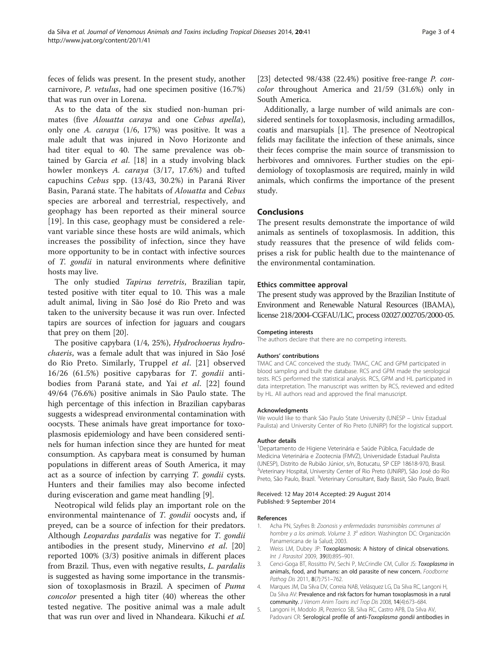<span id="page-2-0"></span>feces of felids was present. In the present study, another carnivore, P. vetulus, had one specimen positive (16.7%) that was run over in Lorena.

As to the data of the six studied non-human primates (five Alouatta caraya and one Cebus apella), only one A. caraya (1/6, 17%) was positive. It was a male adult that was injured in Novo Horizonte and had titer equal to 40. The same prevalence was ob-tained by Garcia et al. [[18](#page-3-0)] in a study involving black howler monkeys A. caraya (3/17, 17.6%) and tufted capuchins Cebus spp. (13/43, 30.2%) in Paraná River Basin, Paraná state. The habitats of Alouatta and Cebus species are arboreal and terrestrial, respectively, and geophagy has been reported as their mineral source [[19](#page-3-0)]. In this case, geophagy must be considered a relevant variable since these hosts are wild animals, which increases the possibility of infection, since they have more opportunity to be in contact with infective sources of T. gondii in natural environments where definitive hosts may live.

The only studied Tapirus terretris, Brazilian tapir, tested positive with titer equal to 10. This was a male adult animal, living in São José do Rio Preto and was taken to the university because it was run over. Infected tapirs are sources of infection for jaguars and cougars that prey on them [[20\]](#page-3-0).

The positive capybara (1/4, 25%), Hydrochoerus hydrochaeris, was a female adult that was injured in São José do Rio Preto. Similarly, Truppel et al. [[21\]](#page-3-0) observed 16/26 (61.5%) positive capybaras for T. gondii antibodies from Paraná state, and Yai et al. [\[22](#page-3-0)] found 49/64 (76.6%) positive animals in São Paulo state. The high percentage of this infection in Brazilian capybaras suggests a widespread environmental contamination with oocysts. These animals have great importance for toxoplasmosis epidemiology and have been considered sentinels for human infection since they are hunted for meat consumption. As capybara meat is consumed by human populations in different areas of South America, it may act as a source of infection by carrying T. gondii cysts. Hunters and their families may also become infected during evisceration and game meat handling [\[9](#page-3-0)].

Neotropical wild felids play an important role on the environmental maintenance of *T. gondii* oocysts and, if preyed, can be a source of infection for their predators. Although Leopardus pardalis was negative for T. gondii antibodies in the present study, Minervino et al. [[20](#page-3-0)] reported 100% (3/3) positive animals in different places from Brazil. Thus, even with negative results, L. pardalis is suggested as having some importance in the transmission of toxoplasmosis in Brazil. A specimen of Puma concolor presented a high titer (40) whereas the other tested negative. The positive animal was a male adult that was run over and lived in Nhandeara. Kikuchi et al. [[23\]](#page-3-0) detected 98/438 (22.4%) positive free-range P. concolor throughout America and 21/59 (31.6%) only in South America.

Additionally, a large number of wild animals are considered sentinels for toxoplasmosis, including armadillos, coatis and marsupials [1]. The presence of Neotropical felids may facilitate the infection of these animals, since their feces comprise the main source of transmission to herbivores and omnivores. Further studies on the epidemiology of toxoplasmosis are required, mainly in wild animals, which confirms the importance of the present study.

#### Conclusions

The present results demonstrate the importance of wild animals as sentinels of toxoplasmosis. In addition, this study reassures that the presence of wild felids comprises a risk for public health due to the maintenance of the environmental contamination.

#### Ethics committee approval

The present study was approved by the Brazilian Institute of Environment and Renewable Natural Resources (IBAMA), license 218/2004-CGFAU/LIC, process 02027.002705/2000-05.

#### Competing interests

The authors declare that there are no competing interests.

#### Authors' contributions

TMAC and CAC conceived the study. TMAC, CAC and GPM participated in blood sampling and built the database. RCS and GPM made the serological tests. RCS performed the statistical analysis. RCS, GPM and HL participated in data interpretation. The manuscript was written by RCS, reviewed and edited by HL. All authors read and approved the final manuscript.

#### Acknowledgments

We would like to thank São Paulo State University (UNESP – Univ Estadual Paulista) and University Center of Rio Preto (UNiRP) for the logistical support.

#### Author details

1 Departamento de Higiene Veterinária e Saúde Pública, Faculdade de Medicina Veterinária e Zootecnia (FMVZ), Universidade Estadual Paulista (UNESP), Distrito de Rubião Júnior, s/n, Botucatu, SP CEP 18618-970, Brasil. <sup>2</sup>Veterinary Hospital, University Center of Rio Preto (UNiRP), São José do Rio Preto, São Paulo, Brazil. <sup>3</sup>Veterinary Consultant, Bady Bassit, São Paulo, Brazil.

Received: 12 May 2014 Accepted: 29 August 2014 Published: 9 September 2014

#### References

- Acha PN, Szyfres B: Zoonosis y enfermedades transmisibles communes al hombre y a los animals. Volume 3.  $3<sup>a</sup>$  edition. Washington DC: Organización Panamericana de la Salud; 2003.
- 2. Weiss LM, Dubey JP: Toxoplasmosis: A history of clinical observations. Int J Parasitol 2009, 39(8):895–901.
- 3. Cenci-Goga BT, Rossitto PV, Sechi P, McCrindle CM, Cullor JS: Toxoplasma in animals, food, and humans: an old parasite of new concern. Foodborne Pathog Dis 2011, 8(7):751-762.
- 4. Marques JM, Da Silva DV, Correia NAB, Velásquez LG, Da Silva RC, Langoni H, Da Silva AV: Prevalence and risk factors for human toxoplasmosis in a rural community. J Venom Anim Toxins incl Trop Dis 2008, 14(4):673–684.
- 5. Langoni H, Modolo JR, Pezerico SB, Silva RC, Castro APB, Da Silva AV, Padovani CR: Serological profile of anti-Toxoplasma gondii antibodies in